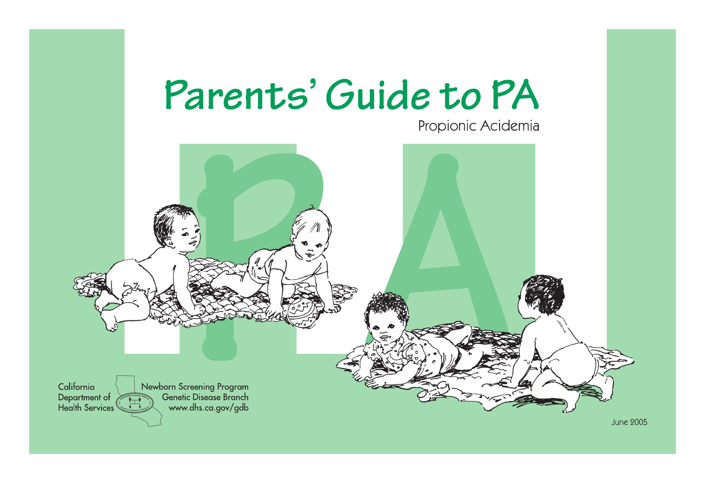

Propionic Acidemia

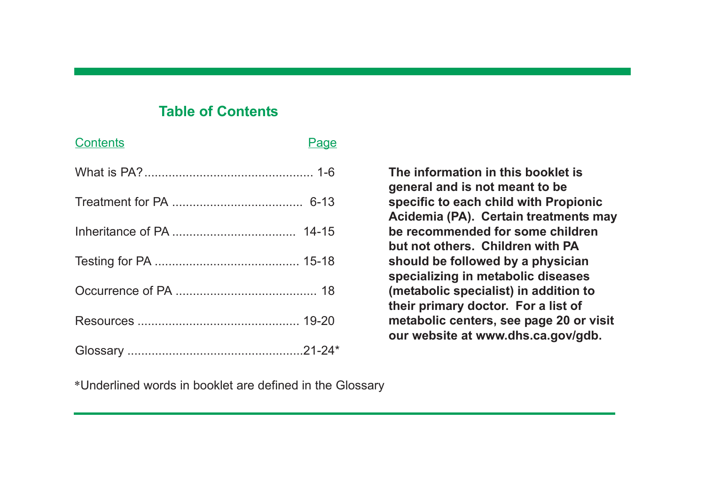## **Table of Contents**

| <b>Contents</b> | <b>Page</b> |
|-----------------|-------------|
|                 |             |
|                 |             |
|                 |             |
|                 |             |
|                 |             |
|                 |             |
|                 |             |

**The information in this booklet is general and is not meant to be specific to each child with Propionic Acidemia (PA). Certain treatments may be recommended for some children but not others. Children with PA should be followed by a physician specializing in metabolic diseases (metabolic specialist) in addition to their primary doctor. For a list of metabolic centers, see page 20 or visit our website at www.dhs.ca.gov/gdb.**

\*Underlined words in booklet are defined in the Glossary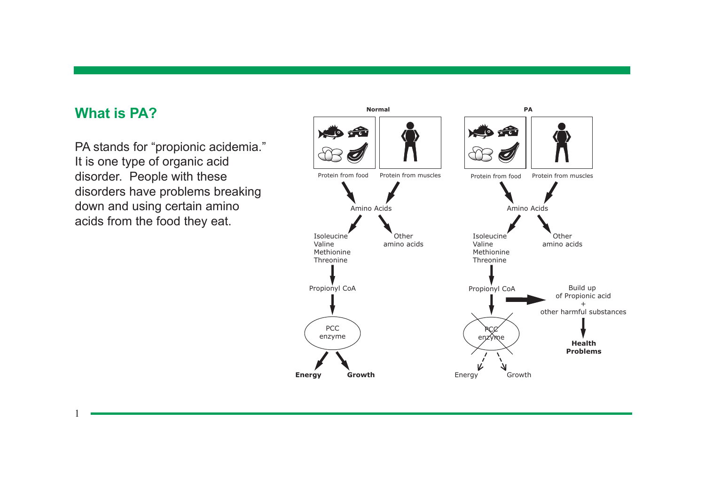### **What is PA?**

1

PA stands for "propionic acidemia." It is one type of organic acid disorder. People with these disorders have problems breaking down and using certain amino acids from the food they eat.

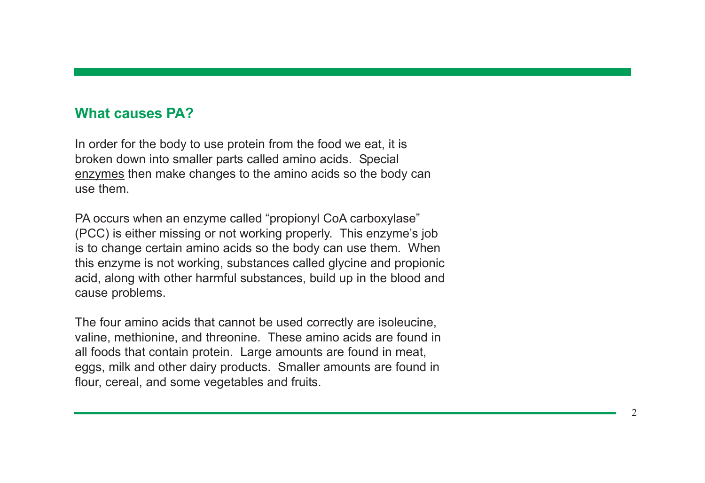#### **What causes PA?**

In order for the body to use protein from the food we eat, it is broken down into smaller parts called amino acids. Special enzymes then make changes to the amino acids so the body can use them.

PA occurs when an enzyme called "propionyl CoA carboxylase" (PCC) is either missing or not working properly. This enzyme's job is to change certain amino acids so the body can use them. When this enzyme is not working, substances called glycine and propionic acid, along with other harmful substances, build up in the blood and cause problems.

The four amino acids that cannot be used correctly are isoleucine, valine, methionine, and threonine. These amino acids are found in all foods that contain protein. Large amounts are found in meat, eggs, milk and other dairy products. Smaller amounts are found in flour, cereal, and some vegetables and fruits.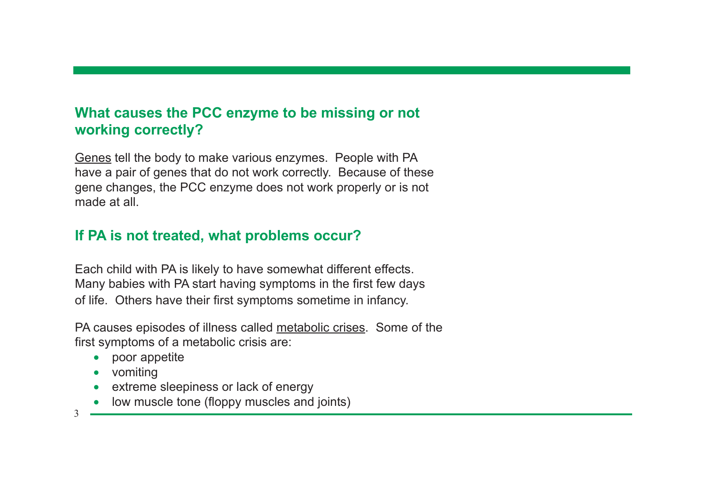# **What causes the PCC enzyme to be missing or not working correctly?**

Genes tell the body to make various enzymes. People with PA have a pair of genes that do not work correctly. Because of these gene changes, the PCC enzyme does not work properly or is not made at all

# **If PA is not treated, what problems occur?**

Each child with PA is likely to have somewhat different effects. Many babies with PA start having symptoms in the first few days of life. Others have their first symptoms sometime in infancy.

PA causes episodes of illness called metabolic crises. Some of the first symptoms of a metabolic crisis are:

- poor appetite
- vomiting
- extreme sleepiness or lack of energy
- low muscle tone (floppy muscles and joints)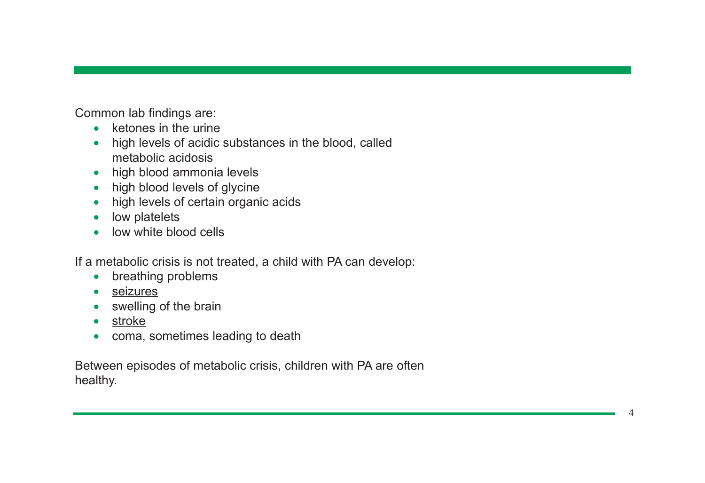Common lab findings are:

- ketones in the urine
- high levels of acidic substances in the blood, called metabolic acidosis
- high blood ammonia levels
- high blood levels of glycine
- high levels of certain organic acids
- low platelets
- low white blood cells

If a metabolic crisis is not treated, a child with PA can develop:

- breathing problems
- seizures
- swelling of the brain
- stroke
- coma, sometimes leading to death

Between episodes of metabolic crisis, children with PA are often healthy.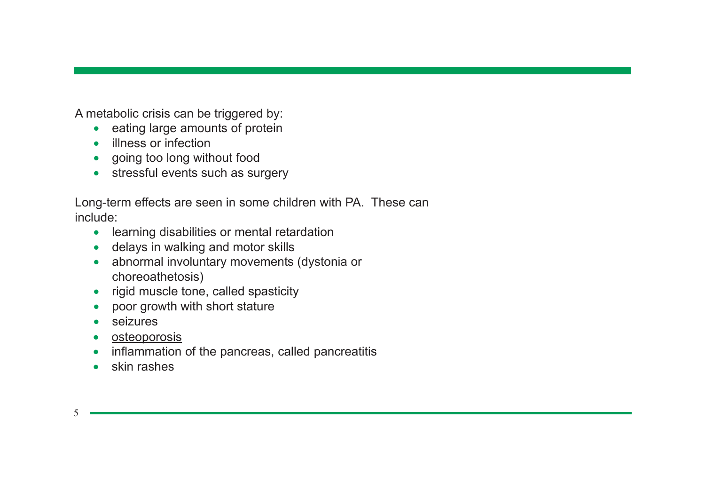A metabolic crisis can be triggered by:

- eating large amounts of protein
- illness or infection
- going too long without food
- stressful events such as surgery

Long-term effects are seen in some children with PA. These can include:

- learning disabilities or mental retardation
- delays in walking and motor skills
- abnormal involuntary movements (dystonia or choreoathetosis)
- rigid muscle tone, called spasticity
- poor growth with short stature
- seizures
- osteoporosis
- inflammation of the pancreas, called pancreatitis
- skin rashes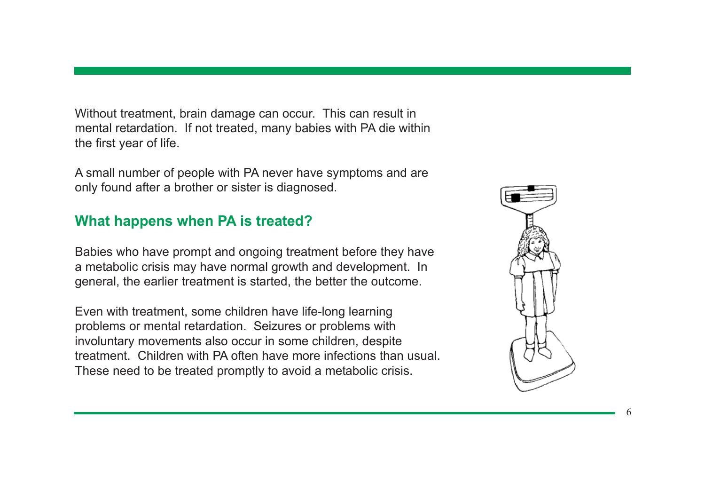Without treatment, brain damage can occur. This can result in mental retardation. If not treated, many babies with PA die within the first year of life.

A small number of people with PA never have symptoms and are only found after a brother or sister is diagnosed.

## **What happens when PA is treated?**

Babies who have prompt and ongoing treatment before they have a metabolic crisis may have normal growth and development. In general, the earlier treatment is started, the better the outcome.

Even with treatment, some children have life-long learning problems or mental retardation. Seizures or problems with involuntary movements also occur in some children, despite treatment. Children with PA often have more infections than usual. These need to be treated promptly to avoid a metabolic crisis.

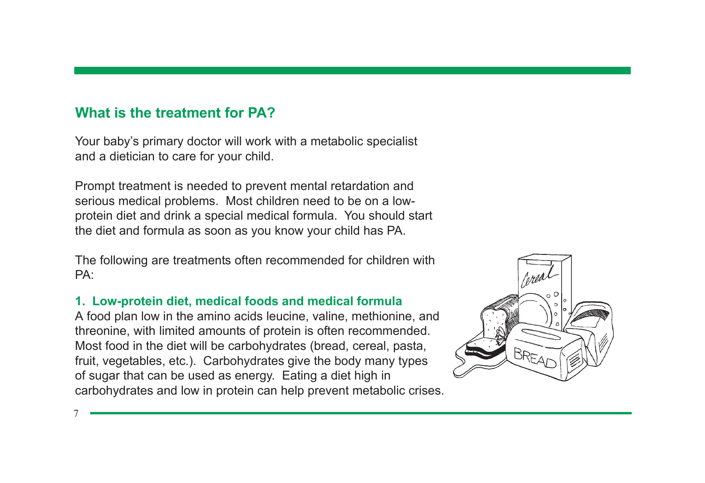# **What is the treatment for PA?**

Your baby's primary doctor will work with a metabolic specialist and a dietician to care for your child.

Prompt treatment is needed to prevent mental retardation and serious medical problems. Most children need to be on a lowprotein diet and drink a special medical formula. You should start the diet and formula as soon as you know your child has PA.

The following are treatments often recommended for children with PA:

### **1. Low-protein diet, medical foods and medical formula**

A food plan low in the amino acids leucine, valine, methionine, and threonine, with limited amounts of protein is often recommended. Most food in the diet will be carbohydrates (bread, cereal, pasta, fruit, vegetables, etc.). Carbohydrates give the body many types of sugar that can be used as energy. Eating a diet high in carbohydrates and low in protein can help prevent metabolic crises.

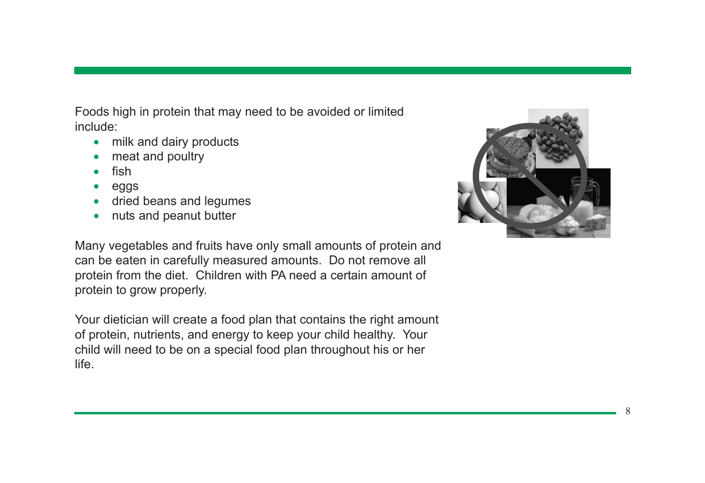Foods high in protein that may need to be avoided or limited include:

- milk and dairy products
- meat and poultry
- fish
- eggs
- dried beans and legumes
- nuts and peanut butter

Many vegetables and fruits have only small amounts of protein and can be eaten in carefully measured amounts. Do not remove all protein from the diet. Children with PA need a certain amount of protein to grow properly.

Your dietician will create a food plan that contains the right amount of protein, nutrients, and energy to keep your child healthy. Your child will need to be on a special food plan throughout his or her life.

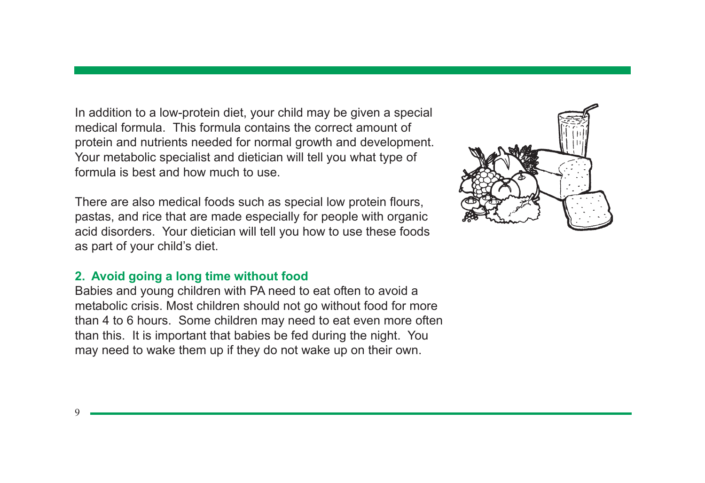In addition to a low-protein diet, your child may be given a special medical formula. This formula contains the correct amount of protein and nutrients needed for normal growth and development. Your metabolic specialist and dietician will tell you what type of formula is best and how much to use.

There are also medical foods such as special low protein flours, pastas, and rice that are made especially for people with organic acid disorders. Your dietician will tell you how to use these foods as part of your child's diet.

### **2. Avoid going a long time without food**

Babies and young children with PA need to eat often to avoid a metabolic crisis. Most children should not go without food for more than 4 to 6 hours. Some children may need to eat even more often than this. It is important that babies be fed during the night. You may need to wake them up if they do not wake up on their own.

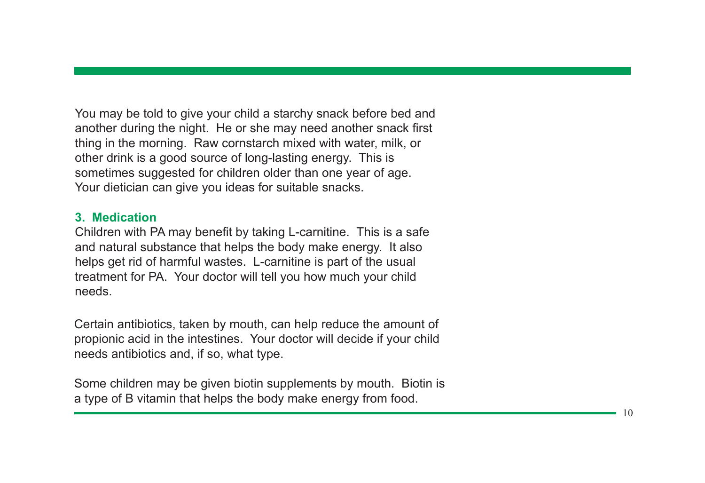You may be told to give your child a starchy snack before bed and another during the night. He or she may need another snack first thing in the morning. Raw cornstarch mixed with water, milk, or other drink is a good source of long-lasting energy. This is sometimes suggested for children older than one year of age. Your dietician can give you ideas for suitable snacks.

#### **3. Medication**

Children with PA may benefit by taking L-carnitine. This is a safe and natural substance that helps the body make energy. It also helps get rid of harmful wastes. L-carnitine is part of the usual treatment for PA. Your doctor will tell you how much your child needs.

Certain antibiotics, taken by mouth, can help reduce the amount of propionic acid in the intestines. Your doctor will decide if your child needs antibiotics and, if so, what type.

Some children may be given biotin supplements by mouth. Biotin is a type of B vitamin that helps the body make energy from food.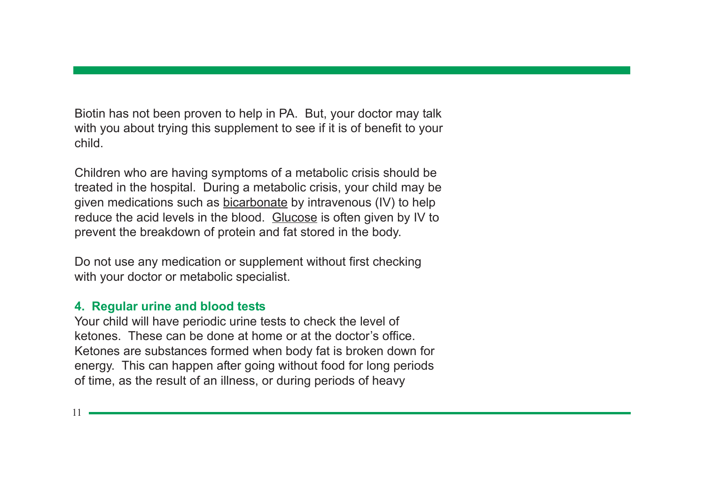Biotin has not been proven to help in PA. But, your doctor may talk with you about trying this supplement to see if it is of benefit to your child.

Children who are having symptoms of a metabolic crisis should be treated in the hospital. During a metabolic crisis, your child may be given medications such as bicarbonate by intravenous (IV) to help reduce the acid levels in the blood. Glucose is often given by IV to prevent the breakdown of protein and fat stored in the body.

Do not use any medication or supplement without first checking with your doctor or metabolic specialist.

#### **4. Regular urine and blood tests**

Your child will have periodic urine tests to check the level of ketones. These can be done at home or at the doctor's office. Ketones are substances formed when body fat is broken down for energy. This can happen after going without food for long periods of time, as the result of an illness, or during periods of heavy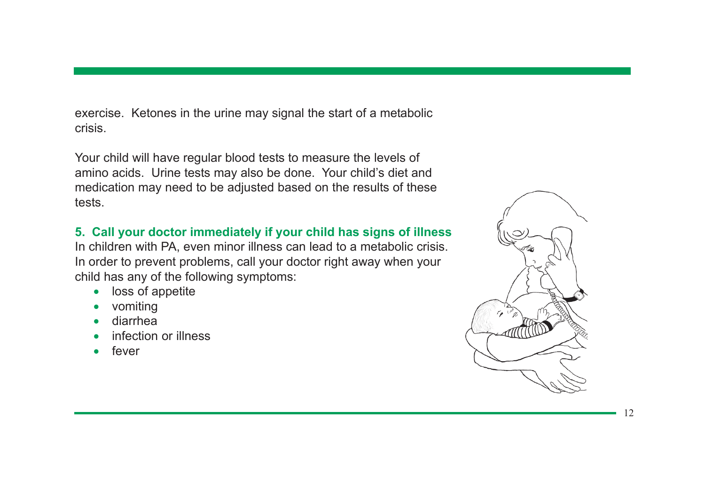exercise. Ketones in the urine may signal the start of a metabolic crisis.

Your child will have regular blood tests to measure the levels of amino acids. Urine tests may also be done. Your child's diet and medication may need to be adjusted based on the results of these tests.

## **5. Call your doctor immediately if your child has signs of illness**

In children with PA, even minor illness can lead to a metabolic crisis. In order to prevent problems, call your doctor right away when your child has any of the following symptoms:

- loss of appetite
- vomiting
- diarrhea
- infection or illness
- fever

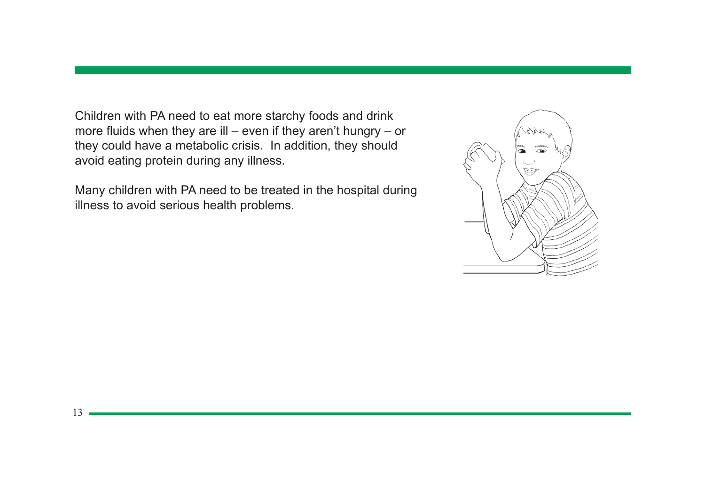Children with PA need to eat more starchy foods and drink more fluids when they are ill – even if they aren't hungry – or they could have a metabolic crisis. In addition, they should avoid eating protein during any illness.

Many children with PA need to be treated in the hospital during illness to avoid serious health problems.

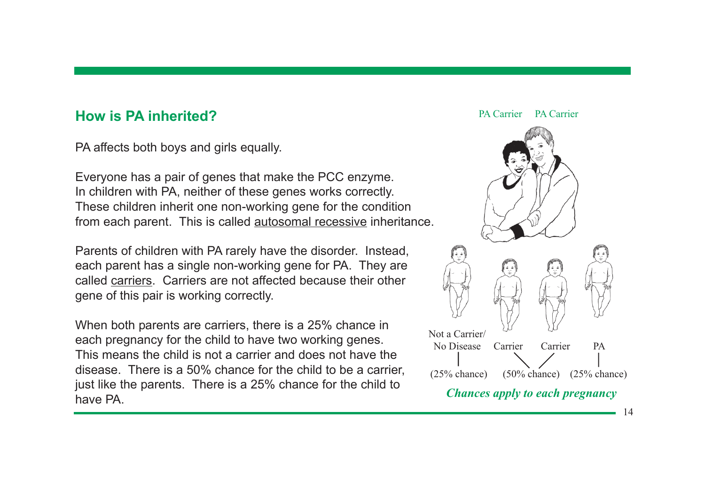## **How is PA inherited?**

PA affects both boys and girls equally.

Everyone has a pair of genes that make the PCC enzyme. In children with PA, neither of these genes works correctly. These children inherit one non-working gene for the condition from each parent. This is called autosomal recessive inheritance.

Parents of children with PA rarely have the disorder. Instead, each parent has a single non-working gene for PA. They are called carriers. Carriers are not affected because their other gene of this pair is working correctly.

When both parents are carriers, there is a 25% chance in each pregnancy for the child to have two working genes. This means the child is not a carrier and does not have the disease. There is a 50% chance for the child to be a carrier, just like the parents. There is a 25% chance for the child to have PA.

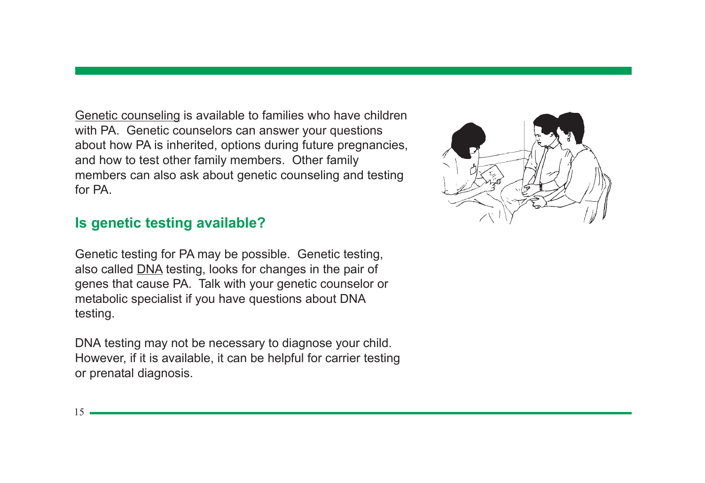Genetic counseling is available to families who have children with PA. Genetic counselors can answer your questions about how PA is inherited, options during future pregnancies, and how to test other family members. Other family members can also ask about genetic counseling and testing for PA

## **Is genetic testing available?**

Genetic testing for PA may be possible. Genetic testing, also called DNA testing, looks for changes in the pair of genes that cause PA. Talk with your genetic counselor or metabolic specialist if you have questions about DNA testing.

DNA testing may not be necessary to diagnose your child. However, if it is available, it can be helpful for carrier testing or prenatal diagnosis.

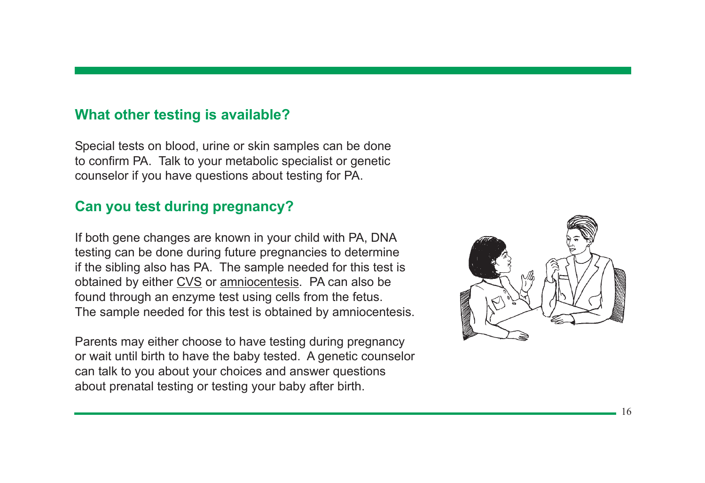## **What other testing is available?**

Special tests on blood, urine or skin samples can be done to confirm PA. Talk to your metabolic specialist or genetic counselor if you have questions about testing for PA.

# **Can you test during pregnancy?**

If both gene changes are known in your child with PA, DNA testing can be done during future pregnancies to determine if the sibling also has PA. The sample needed for this test is obtained by either CVS or amniocentesis. PA can also be found through an enzyme test using cells from the fetus. The sample needed for this test is obtained by amniocentesis.

Parents may either choose to have testing during pregnancy or wait until birth to have the baby tested. A genetic counselor can talk to you about your choices and answer questions about prenatal testing or testing your baby after birth.

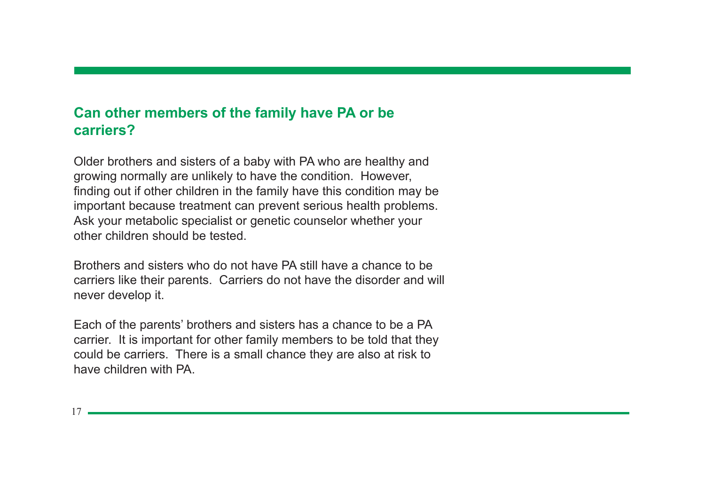## **Can other members of the family have PA or be carriers?**

Older brothers and sisters of a baby with PA who are healthy and growing normally are unlikely to have the condition. However, finding out if other children in the family have this condition may be important because treatment can prevent serious health problems. Ask your metabolic specialist or genetic counselor whether your other children should be tested.

Brothers and sisters who do not have PA still have a chance to be carriers like their parents. Carriers do not have the disorder and will never develop it.

Each of the parents' brothers and sisters has a chance to be a PA carrier. It is important for other family members to be told that they could be carriers. There is a small chance they are also at risk to have children with PA.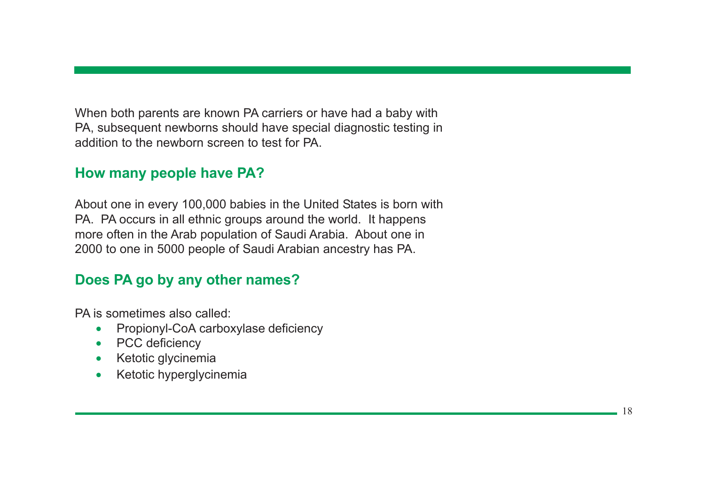When both parents are known PA carriers or have had a baby with PA, subsequent newborns should have special diagnostic testing in addition to the newborn screen to test for PA.

# **How many people have PA?**

About one in every 100,000 babies in the United States is born with PA. PA occurs in all ethnic groups around the world. It happens more often in the Arab population of Saudi Arabia. About one in 2000 to one in 5000 people of Saudi Arabian ancestry has PA.

# **Does PA go by any other names?**

PA is sometimes also called:

- Propionyl-CoA carboxylase deficiency
- PCC deficiency
- Ketotic glycinemia
- Ketotic hyperglycinemia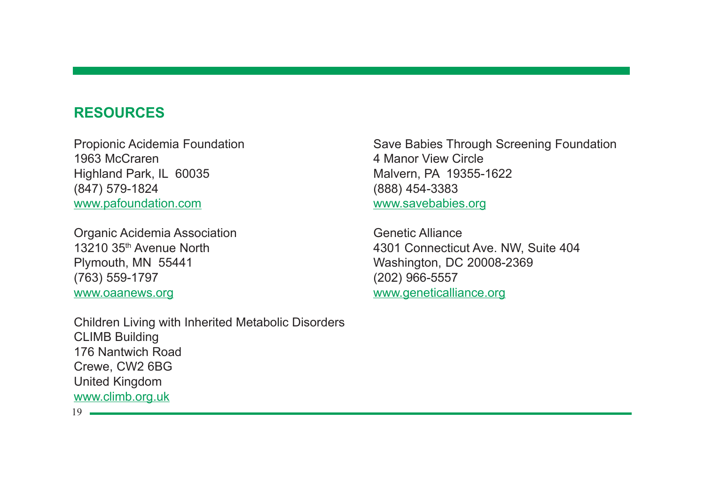## **RESOURCES**

Propionic Acidemia Foundation 1963 McCraren Highland Park, IL 60035 (847) 579-1824 www.pafoundation.com

Organic Acidemia Association 13210 35th Avenue North Plymouth, MN 55441 (763) 559-1797 www.oaanews.org

Children Living with Inherited Metabolic Disorders CLIMB Building 176 Nantwich Road Crewe, CW2 6BG United Kingdom www.climb.org.uk

Save Babies Through Screening Foundation 4 Manor View Circle Malvern, PA 19355-1622 (888) 454-3383 www.savebabies.org

Genetic Alliance 4301 Connecticut Ave. NW, Suite 404 Washington, DC 20008-2369 (202) 966-5557 www.geneticalliance.org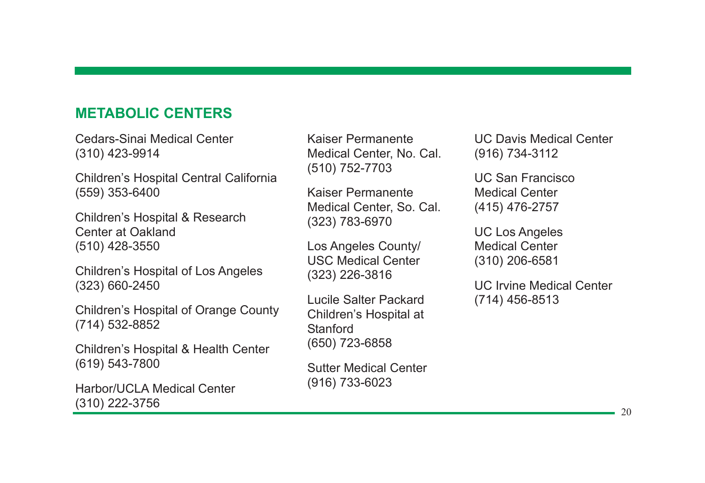# **METABOLIC CENTERS**

Cedars-Sinai Medical Center (310) 423-9914

Children's Hospital Central California (559) 353-6400

Children's Hospital & Research Center at Oakland (510) 428-3550

Children's Hospital of Los Angeles (323) 660-2450

Children's Hospital of Orange County (714) 532-8852

Children's Hospital & Health Center (619) 543-7800

Harbor/UCLA Medical Center (310) 222-3756

Kaiser Permanente Medical Center, No. Cal. (510) 752-7703

Kaiser Permanente Medical Center, So. Cal. (323) 783-6970

Los Angeles County/ USC Medical Center (323) 226-3816

Lucile Salter Packard Children's Hospital at **Stanford** (650) 723-6858

Sutter Medical Center (916) 733-6023

UC Davis Medical Center (916) 734-3112

UC San Francisco Medical Center (415) 476-2757

UC Los Angeles Medical Center (310) 206-6581

UC Irvine Medical Center (714) 456-8513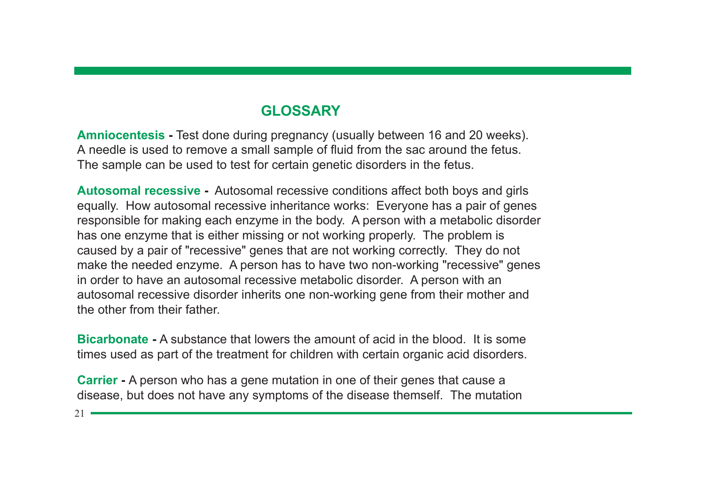# **GLOSSARY**

**Amniocentesis -** Test done during pregnancy (usually between 16 and 20 weeks). A needle is used to remove a small sample of fluid from the sac around the fetus. The sample can be used to test for certain genetic disorders in the fetus.

**Autosomal recessive -** Autosomal recessive conditions affect both boys and girls equally. How autosomal recessive inheritance works: Everyone has a pair of genes responsible for making each enzyme in the body. A person with a metabolic disorder has one enzyme that is either missing or not working properly. The problem is caused by a pair of "recessive" genes that are not working correctly. They do not make the needed enzyme. A person has to have two non-working "recessive" genes in order to have an autosomal recessive metabolic disorder. A person with an autosomal recessive disorder inherits one non-working gene from their mother and the other from their father.

**Bicarbonate -** A substance that lowers the amount of acid in the blood. It is some times used as part of the treatment for children with certain organic acid disorders.

**Carrier -** A person who has a gene mutation in one of their genes that cause a disease, but does not have any symptoms of the disease themself. The mutation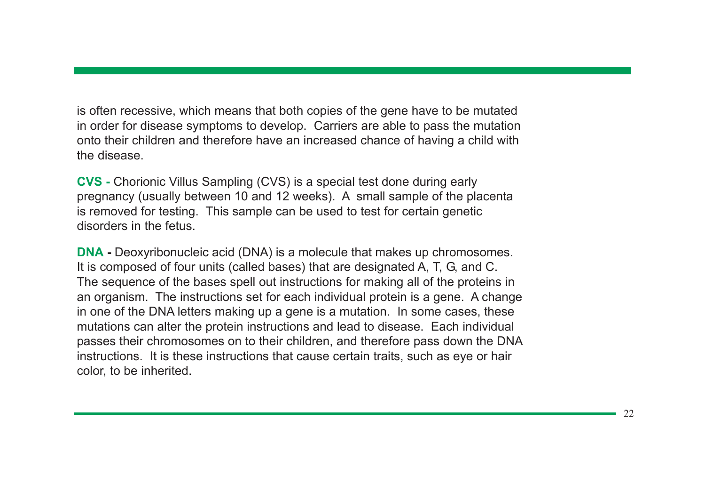is often recessive, which means that both copies of the gene have to be mutated in order for disease symptoms to develop. Carriers are able to pass the mutation onto their children and therefore have an increased chance of having a child with the disease.

**CVS -** Chorionic Villus Sampling (CVS) is a special test done during early pregnancy (usually between 10 and 12 weeks). A small sample of the placenta is removed for testing. This sample can be used to test for certain genetic disorders in the fetus.

**DNA -** Deoxyribonucleic acid (DNA) is a molecule that makes up chromosomes. It is composed of four units (called bases) that are designated A, T, G, and C. The sequence of the bases spell out instructions for making all of the proteins in an organism. The instructions set for each individual protein is a gene. A change in one of the DNA letters making up a gene is a mutation. In some cases, these mutations can alter the protein instructions and lead to disease. Each individual passes their chromosomes on to their children, and therefore pass down the DNA instructions. It is these instructions that cause certain traits, such as eye or hair color, to be inherited.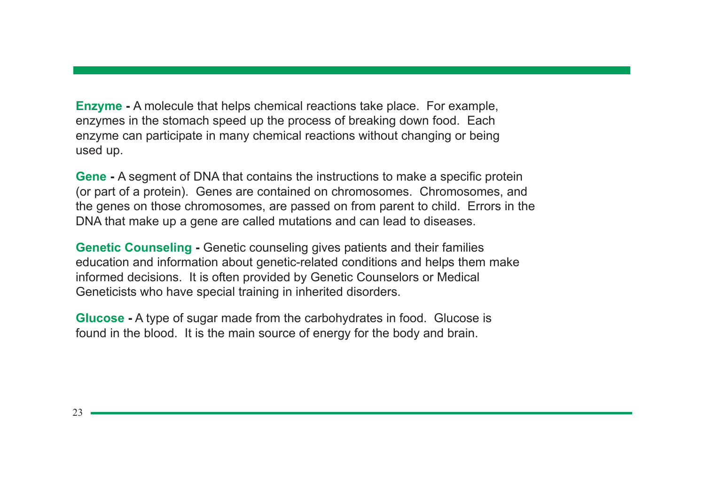**Enzyme -** A molecule that helps chemical reactions take place. For example, enzymes in the stomach speed up the process of breaking down food. Each enzyme can participate in many chemical reactions without changing or being used up.

**Gene -** A segment of DNA that contains the instructions to make a specific protein (or part of a protein). Genes are contained on chromosomes. Chromosomes, and the genes on those chromosomes, are passed on from parent to child. Errors in the DNA that make up a gene are called mutations and can lead to diseases.

**Genetic Counseling -** Genetic counseling gives patients and their families education and information about genetic-related conditions and helps them make informed decisions. It is often provided by Genetic Counselors or Medical Geneticists who have special training in inherited disorders.

**Glucose -** A type of sugar made from the carbohydrates in food. Glucose is found in the blood. It is the main source of energy for the body and brain.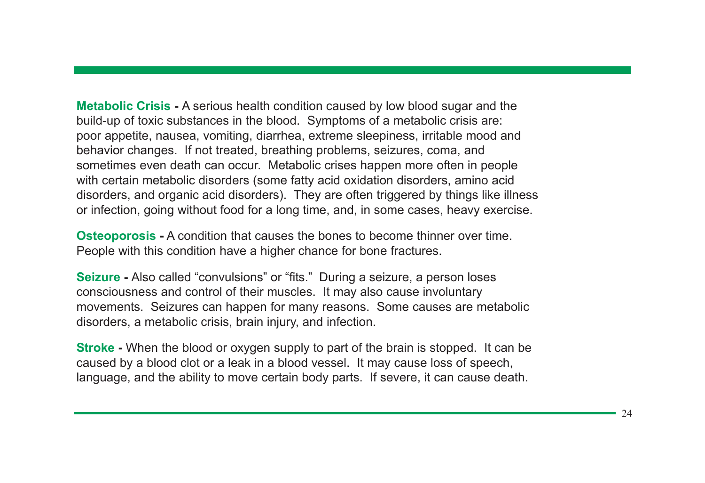**Metabolic Crisis -** A serious health condition caused by low blood sugar and the build-up of toxic substances in the blood. Symptoms of a metabolic crisis are: poor appetite, nausea, vomiting, diarrhea, extreme sleepiness, irritable mood and behavior changes. If not treated, breathing problems, seizures, coma, and sometimes even death can occur. Metabolic crises happen more often in people with certain metabolic disorders (some fatty acid oxidation disorders, amino acid disorders, and organic acid disorders). They are often triggered by things like illness or infection, going without food for a long time, and, in some cases, heavy exercise.

**Osteoporosis -** A condition that causes the bones to become thinner over time. People with this condition have a higher chance for bone fractures.

**Seizure -** Also called "convulsions" or "fits." During a seizure, a person loses consciousness and control of their muscles. It may also cause involuntary movements. Seizures can happen for many reasons. Some causes are metabolic disorders, a metabolic crisis, brain injury, and infection.

**Stroke -** When the blood or oxygen supply to part of the brain is stopped. It can be caused by a blood clot or a leak in a blood vessel. It may cause loss of speech, language, and the ability to move certain body parts. If severe, it can cause death.